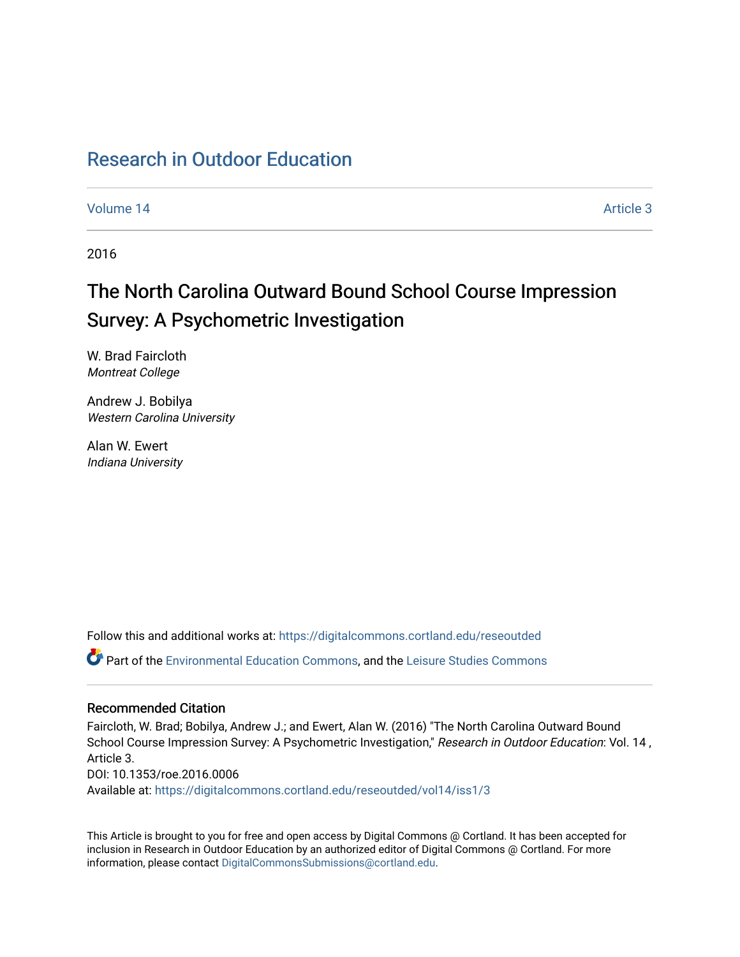## [Research in Outdoor Education](https://digitalcommons.cortland.edu/reseoutded)

[Volume 14](https://digitalcommons.cortland.edu/reseoutded/vol14) Article 3

2016

# The North Carolina Outward Bound School Course Impression Survey: A Psychometric Investigation

W. Brad Faircloth Montreat College

Andrew J. Bobilya Western Carolina University

Alan W. Ewert Indiana University

Follow this and additional works at: [https://digitalcommons.cortland.edu/reseoutded](https://digitalcommons.cortland.edu/reseoutded?utm_source=digitalcommons.cortland.edu%2Freseoutded%2Fvol14%2Fiss1%2F3&utm_medium=PDF&utm_campaign=PDFCoverPages)

Part of the [Environmental Education Commons](http://network.bepress.com/hgg/discipline/1305?utm_source=digitalcommons.cortland.edu%2Freseoutded%2Fvol14%2Fiss1%2F3&utm_medium=PDF&utm_campaign=PDFCoverPages), and the [Leisure Studies Commons](http://network.bepress.com/hgg/discipline/1197?utm_source=digitalcommons.cortland.edu%2Freseoutded%2Fvol14%2Fiss1%2F3&utm_medium=PDF&utm_campaign=PDFCoverPages) 

## Recommended Citation

Faircloth, W. Brad; Bobilya, Andrew J.; and Ewert, Alan W. (2016) "The North Carolina Outward Bound School Course Impression Survey: A Psychometric Investigation," Research in Outdoor Education: Vol. 14, Article 3. DOI: 10.1353/roe.2016.0006 Available at: [https://digitalcommons.cortland.edu/reseoutded/vol14/iss1/3](https://digitalcommons.cortland.edu/reseoutded/vol14/iss1/3?utm_source=digitalcommons.cortland.edu%2Freseoutded%2Fvol14%2Fiss1%2F3&utm_medium=PDF&utm_campaign=PDFCoverPages) 

This Article is brought to you for free and open access by Digital Commons @ Cortland. It has been accepted for inclusion in Research in Outdoor Education by an authorized editor of Digital Commons @ Cortland. For more information, please contact [DigitalCommonsSubmissions@cortland.edu](mailto:DigitalCommonsSubmissions@cortland.edu).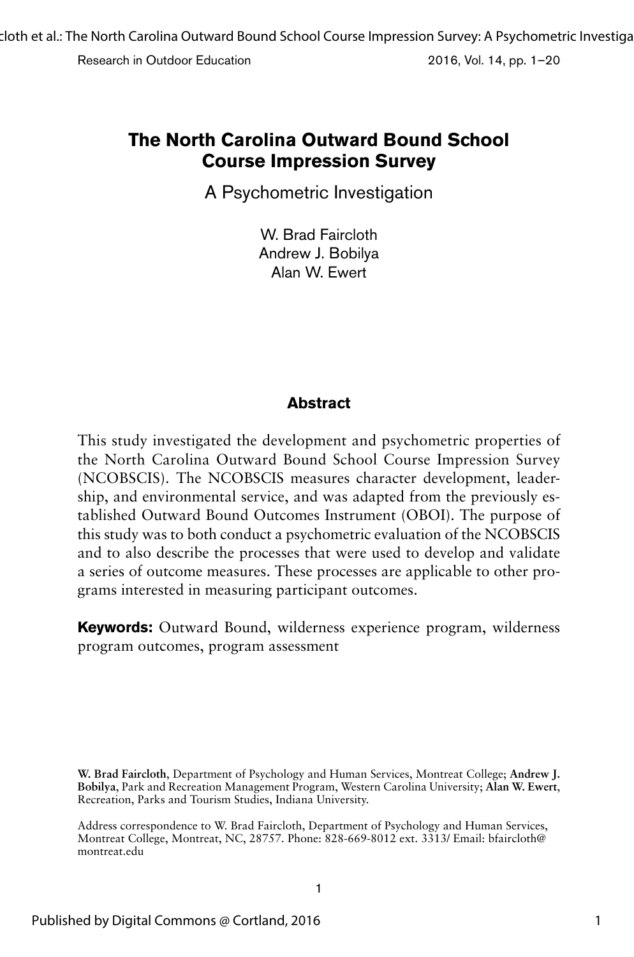A Psychometric Investigation

W. Brad Faircloth Andrew J. Bobilya Alan W. Ewert

## **Abstract**

This study investigated the development and psychometric properties of the North Carolina Outward Bound School Course Impression Survey (NCOBSCIS). The NCOBSCIS measures character development, leadership, and environmental service, and was adapted from the previously established Outward Bound Outcomes Instrument (OBOI). The purpose of this study was to both conduct a psychometric evaluation of the NCOBSCIS and to also describe the processes that were used to develop and validate a series of outcome measures. These processes are applicable to other programs interested in measuring participant outcomes.

**Keywords:** Outward Bound, wilderness experience program, wilderness program outcomes, program assessment

**W. Brad Faircloth**, Department of Psychology and Human Services, Montreat College; **Andrew J. Bobilya**, Park and Recreation Management Program, Western Carolina University; **Alan W. Ewert**, Recreation, Parks and Tourism Studies, Indiana University.

Address correspondence to W. Brad Faircloth, Department of Psychology and Human Services, Montreat College, Montreat, NC, 28757. Phone: 828-669-8012 ext. 3313/ Email: bfaircloth@ montreat.edu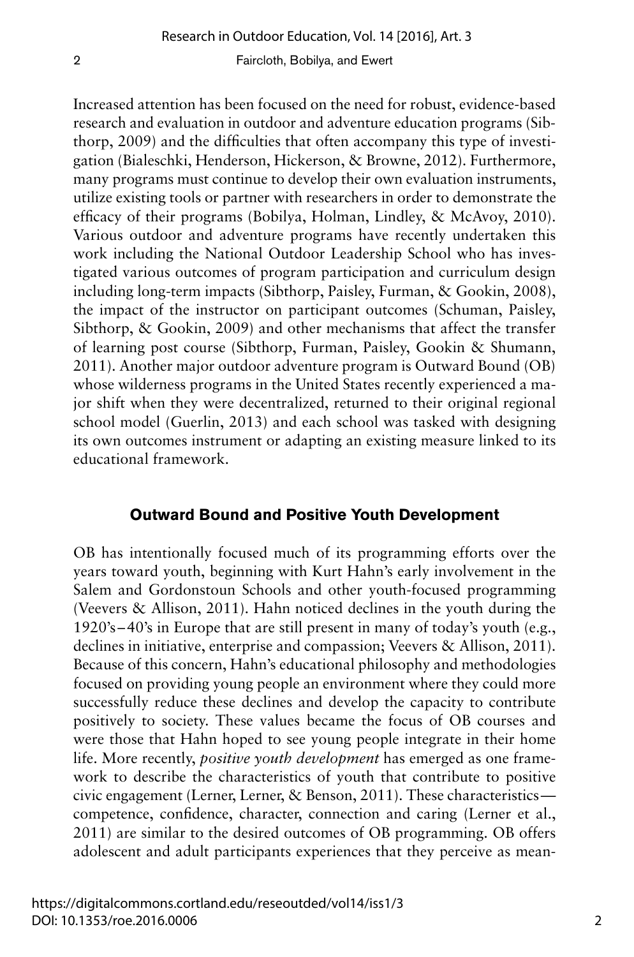Increased attention has been focused on the need for robust, evidence-based research and evaluation in outdoor and adventure education programs (Sibthorp, 2009) and the difficulties that often accompany this type of investigation (Bialeschki, Henderson, Hickerson, & Browne, 2012). Furthermore, many programs must continue to develop their own evaluation instruments, utilize existing tools or partner with researchers in order to demonstrate the efficacy of their programs (Bobilya, Holman, Lindley, & McAvoy, 2010). Various outdoor and adventure programs have recently undertaken this work including the National Outdoor Leadership School who has investigated various outcomes of program participation and curriculum design including long-term impacts (Sibthorp, Paisley, Furman, & Gookin, 2008), the impact of the instructor on participant outcomes (Schuman, Paisley, Sibthorp, & Gookin, 2009) and other mechanisms that affect the transfer of learning post course (Sibthorp, Furman, Paisley, Gookin & Shumann, 2011). Another major outdoor adventure program is Outward Bound (OB) whose wilderness programs in the United States recently experienced a major shift when they were decentralized, returned to their original regional school model (Guerlin, 2013) and each school was tasked with designing its own outcomes instrument or adapting an existing measure linked to its educational framework.

## **Outward Bound and Positive Youth Development**

OB has intentionally focused much of its programming efforts over the years toward youth, beginning with Kurt Hahn's early involvement in the Salem and Gordonstoun Schools and other youth-focused programming (Veevers & Allison, 2011). Hahn noticed declines in the youth during the 1920's –40's in Europe that are still present in many of today's youth (e.g., declines in initiative, enterprise and compassion; Veevers & Allison, 2011). Because of this concern, Hahn's educational philosophy and methodologies focused on providing young people an environment where they could more successfully reduce these declines and develop the capacity to contribute positively to society. These values became the focus of OB courses and were those that Hahn hoped to see young people integrate in their home life. More recently, *positive youth development* has emerged as one framework to describe the characteristics of youth that contribute to positive civic engagement (Lerner, Lerner, & Benson, 2011). These characteristics competence, confidence, character, connection and caring (Lerner et al., 2011) are similar to the desired outcomes of OB programming. OB offers adolescent and adult participants experiences that they perceive as mean-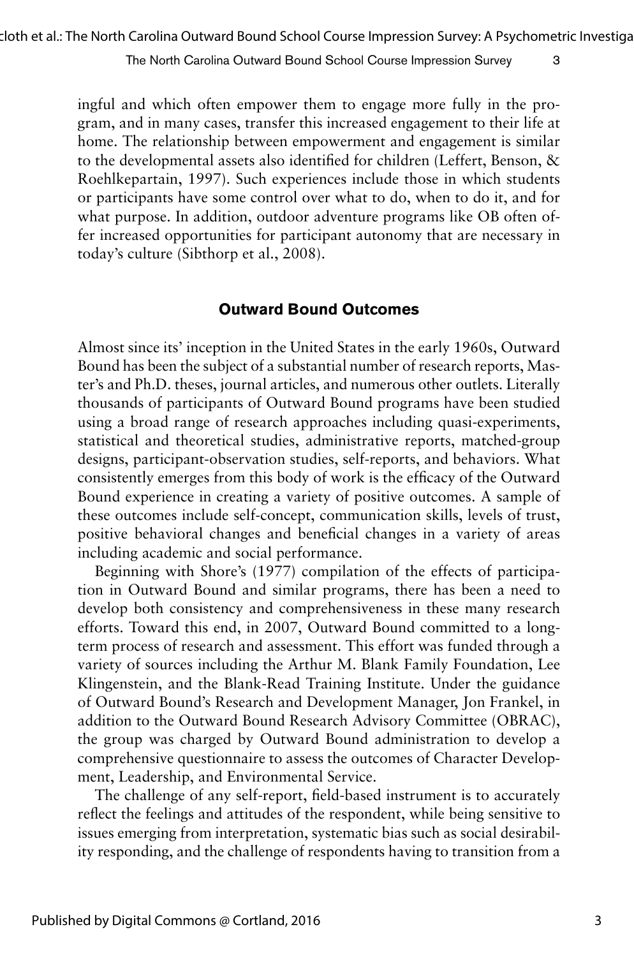ingful and which often empower them to engage more fully in the program, and in many cases, transfer this increased engagement to their life at home. The relationship between empowerment and engagement is similar to the developmental assets also identified for children (Leffert, Benson, & Roehlkepartain, 1997). Such experiences include those in which students or participants have some control over what to do, when to do it, and for what purpose. In addition, outdoor adventure programs like OB often offer increased opportunities for participant autonomy that are necessary in today's culture (Sibthorp et al., 2008).

## **Outward Bound Outcomes**

Almost since its' inception in the United States in the early 1960s, Outward Bound has been the subject of a substantial number of research reports, Master's and Ph.D. theses, journal articles, and numerous other outlets. Literally thousands of participants of Outward Bound programs have been studied using a broad range of research approaches including quasi-experiments, statistical and theoretical studies, administrative reports, matched-group designs, participant-observation studies, self-reports, and behaviors. What consistently emerges from this body of work is the efficacy of the Outward Bound experience in creating a variety of positive outcomes. A sample of these outcomes include self-concept, communication skills, levels of trust, positive behavioral changes and beneficial changes in a variety of areas including academic and social performance.

Beginning with Shore's (1977) compilation of the effects of participation in Outward Bound and similar programs, there has been a need to develop both consistency and comprehensiveness in these many research efforts. Toward this end, in 2007, Outward Bound committed to a longterm process of research and assessment. This effort was funded through a variety of sources including the Arthur M. Blank Family Foundation, Lee Klingenstein, and the Blank-Read Training Institute. Under the guidance of Outward Bound's Research and Development Manager, Jon Frankel, in addition to the Outward Bound Research Advisory Committee (OBRAC), the group was charged by Outward Bound administration to develop a comprehensive questionnaire to assess the outcomes of Character Development, Leadership, and Environmental Service.

The challenge of any self-report, field-based instrument is to accurately reflect the feelings and attitudes of the respondent, while being sensitive to issues emerging from interpretation, systematic bias such as social desirability responding, and the challenge of respondents having to transition from a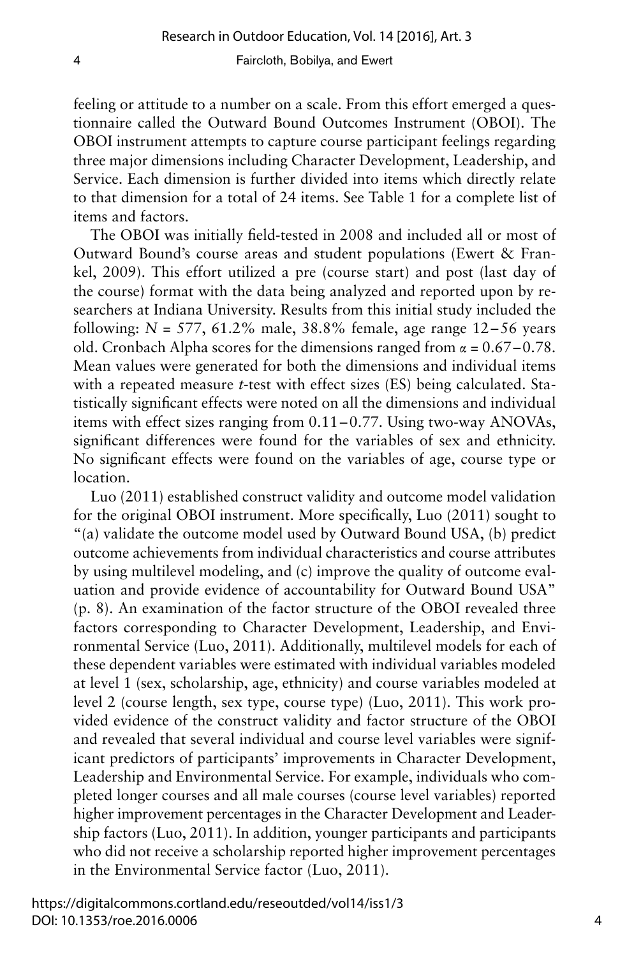feeling or attitude to a number on a scale. From this effort emerged a questionnaire called the Outward Bound Outcomes Instrument (OBOI). The OBOI instrument attempts to capture course participant feelings regarding three major dimensions including Character Development, Leadership, and Service. Each dimension is further divided into items which directly relate to that dimension for a total of 24 items. See Table 1 for a complete list of items and factors.

The OBOI was initially field-tested in 2008 and included all or most of Outward Bound's course areas and student populations (Ewert & Frankel, 2009). This effort utilized a pre (course start) and post (last day of the course) format with the data being analyzed and reported upon by researchers at Indiana University. Results from this initial study included the following:  $N = 577, 61.2\%$  male,  $38.8\%$  female, age range  $12-56$  years old. Cronbach Alpha scores for the dimensions ranged from  $\alpha = 0.67 - 0.78$ . Mean values were generated for both the dimensions and individual items with a repeated measure *t*-test with effect sizes (ES) being calculated. Statistically significant effects were noted on all the dimensions and individual items with effect sizes ranging from 0.11–0.77. Using two-way ANOVAs, significant differences were found for the variables of sex and ethnicity. No significant effects were found on the variables of age, course type or location.

Luo (2011) established construct validity and outcome model validation for the original OBOI instrument. More specifically, Luo (2011) sought to "(a) validate the outcome model used by Outward Bound USA, (b) predict outcome achievements from individual characteristics and course attributes by using multilevel modeling, and (c) improve the quality of outcome evaluation and provide evidence of accountability for Outward Bound USA" (p. 8). An examination of the factor structure of the OBOI revealed three factors corresponding to Character Development, Leadership, and Environmental Service (Luo, 2011). Additionally, multilevel models for each of these dependent variables were estimated with individual variables modeled at level 1 (sex, scholarship, age, ethnicity) and course variables modeled at level 2 (course length, sex type, course type) (Luo, 2011). This work provided evidence of the construct validity and factor structure of the OBOI and revealed that several individual and course level variables were significant predictors of participants' improvements in Character Development, Leadership and Environmental Service. For example, individuals who completed longer courses and all male courses (course level variables) reported higher improvement percentages in the Character Development and Leadership factors (Luo, 2011). In addition, younger participants and participants who did not receive a scholarship reported higher improvement percentages in the Environmental Service factor (Luo, 2011).

https://digitalcommons.cortland.edu/reseoutded/vol14/iss1/3 DOI: 10.1353/roe.2016.0006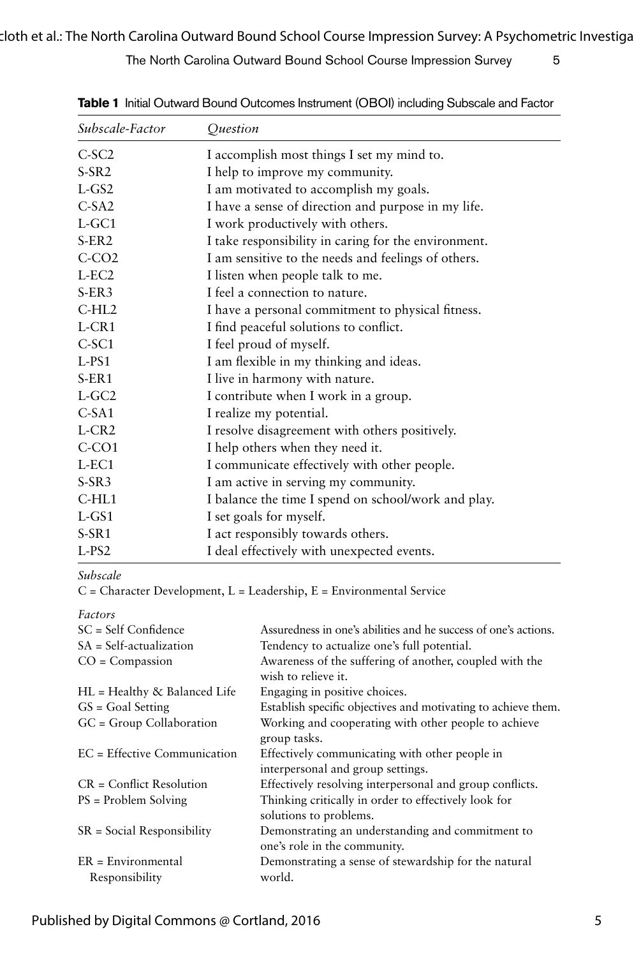| Subscale-Factor      | Ouestion                                             |
|----------------------|------------------------------------------------------|
| $C-SC2$              | I accomplish most things I set my mind to.           |
| $S-SR2$              | I help to improve my community.                      |
| $L$ -GS2             | I am motivated to accomplish my goals.               |
| $C-SA2$              | I have a sense of direction and purpose in my life.  |
| $L$ -GC1             | I work productively with others.                     |
| $S-ER2$              | I take responsibility in caring for the environment. |
| $C-CO2$              | I am sensitive to the needs and feelings of others.  |
| $L-EC2$              | I listen when people talk to me.                     |
| $S-ER3$              | I feel a connection to nature.                       |
| $C-HL2$              | I have a personal commitment to physical fitness.    |
| $L-CR1$              | I find peaceful solutions to conflict.               |
| C-SC1                | I feel proud of myself.                              |
| $L-PS1$              | I am flexible in my thinking and ideas.              |
| $S-ER1$              | I live in harmony with nature.                       |
| $L$ -GC <sub>2</sub> | I contribute when I work in a group.                 |
| $C-5A1$              | I realize my potential.                              |
| $L-CR2$              | I resolve disagreement with others positively.       |
| $C-CO1$              | I help others when they need it.                     |
| $L$ -EC1             | I communicate effectively with other people.         |
| $S-SR3$              | I am active in serving my community.                 |
| $C-HL1$              | I balance the time I spend on school/work and play.  |
| $L-GS1$              | I set goals for myself.                              |
| $S-SR1$              | I act responsibly towards others.                    |
| $L-PS2$              | I deal effectively with unexpected events.           |

**Table 1** Initial Outward Bound Outcomes Instrument (OBOI) including Subscale and Factor

#### *Subscale*

 $C =$  Character Development,  $L =$  Leadership,  $E =$  Environmental Service

| 1 U C L V I J                          |                                                                                     |
|----------------------------------------|-------------------------------------------------------------------------------------|
| $SC = Self$ Confidence                 | Assuredness in one's abilities and he success of one's actions.                     |
| $SA = Self-actualization$              | Tendency to actualize one's full potential.                                         |
| $CO = Compassion$                      | Awareness of the suffering of another, coupled with the<br>wish to relieve it.      |
| $HL =$ Healthy & Balanced Life         | Engaging in positive choices.                                                       |
| $GS = Goal Setting$                    | Establish specific objectives and motivating to achieve them.                       |
| GC = Group Collaboration               | Working and cooperating with other people to achieve<br>group tasks.                |
| $EC = Effective Communication$         | Effectively communicating with other people in<br>interpersonal and group settings. |
| $CR = Conflict Resolution$             | Effectively resolving interpersonal and group conflicts.                            |
| $PS = Problem$ Solving                 | Thinking critically in order to effectively look for<br>solutions to problems.      |
| $SR = Social Responsibility$           | Demonstrating an understanding and commitment to<br>one's role in the community.    |
| $ER = Environmental$<br>Responsibility | Demonstrating a sense of stewardship for the natural<br>world.                      |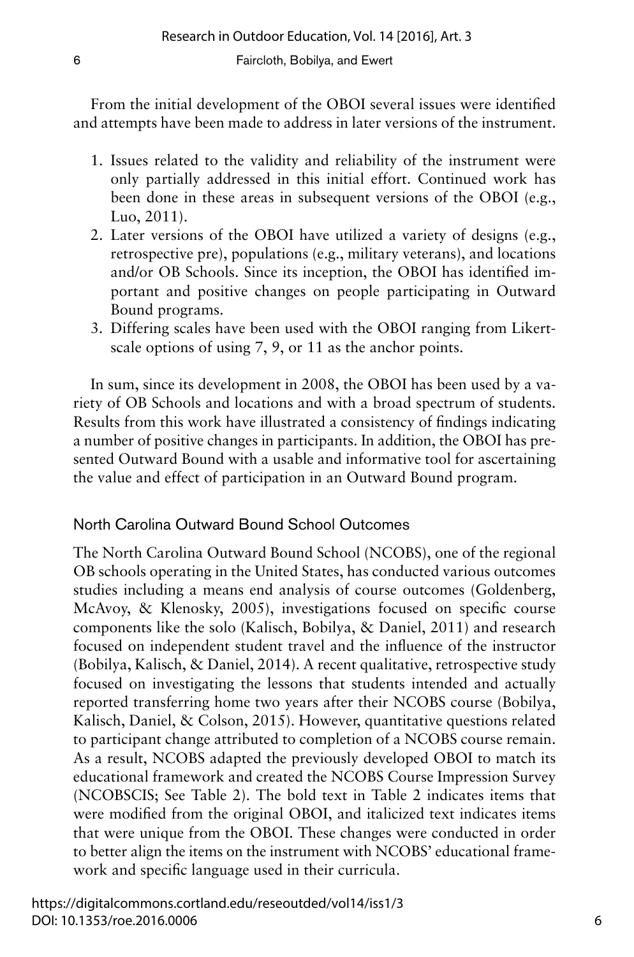From the initial development of the OBOI several issues were identified and attempts have been made to address in later versions of the instrument.

- 1. Issues related to the validity and reliability of the instrument were only partially addressed in this initial effort. Continued work has been done in these areas in subsequent versions of the OBOI (e.g., Luo, 2011).
- 2. Later versions of the OBOI have utilized a variety of designs (e.g., retrospective pre), populations (e.g., military veterans), and locations and/or OB Schools. Since its inception, the OBOI has identified important and positive changes on people participating in Outward Bound programs.
- 3. Differing scales have been used with the OBOI ranging from Likertscale options of using 7, 9, or 11 as the anchor points.

In sum, since its development in 2008, the OBOI has been used by a variety of OB Schools and locations and with a broad spectrum of students. Results from this work have illustrated a consistency of findings indicating a number of positive changes in participants. In addition, the OBOI has presented Outward Bound with a usable and informative tool for ascertaining the value and effect of participation in an Outward Bound program.

## North Carolina Outward Bound School Outcomes

The North Carolina Outward Bound School (NCOBS), one of the regional OB schools operating in the United States, has conducted various outcomes studies including a means end analysis of course outcomes (Goldenberg, McAvoy, & Klenosky, 2005), investigations focused on specific course components like the solo (Kalisch, Bobilya, & Daniel, 2011) and research focused on independent student travel and the influence of the instructor (Bobilya, Kalisch, & Daniel, 2014). A recent qualitative, retrospective study focused on investigating the lessons that students intended and actually reported transferring home two years after their NCOBS course (Bobilya, Kalisch, Daniel, & Colson, 2015). However, quantitative questions related to participant change attributed to completion of a NCOBS course remain. As a result, NCOBS adapted the previously developed OBOI to match its educational framework and created the NCOBS Course Impression Survey (NCOBSCIS; See Table 2). The bold text in Table 2 indicates items that were modified from the original OBOI, and italicized text indicates items that were unique from the OBOI. These changes were conducted in order to better align the items on the instrument with NCOBS' educational framework and specific language used in their curricula.

https://digitalcommons.cortland.edu/reseoutded/vol14/iss1/3 DOI: 10.1353/roe.2016.0006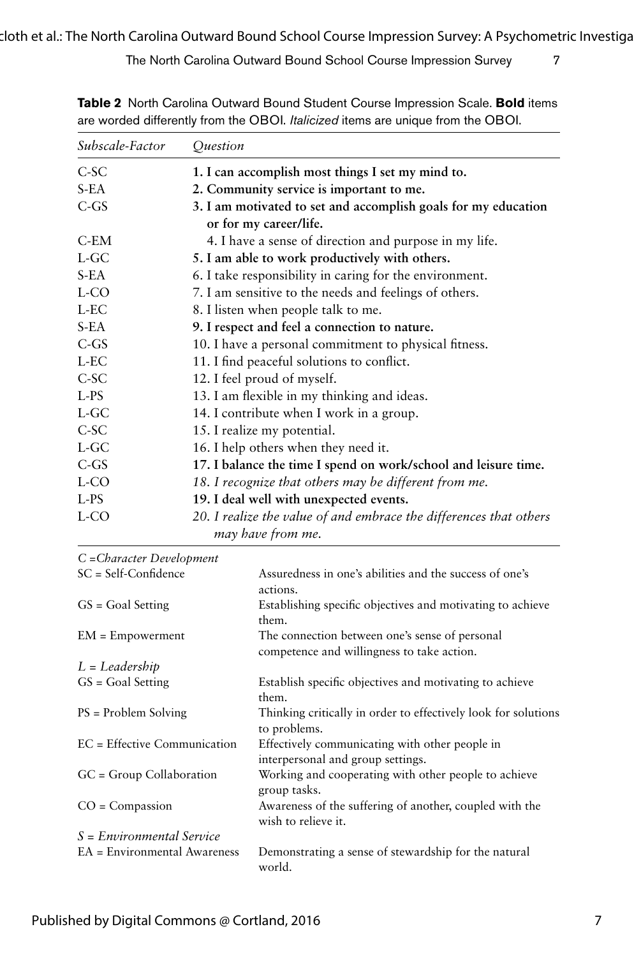| Subscale-Factor | Ouestion                                                                                 |
|-----------------|------------------------------------------------------------------------------------------|
| $C-SC$          | 1. I can accomplish most things I set my mind to.                                        |
| S-EA            | 2. Community service is important to me.                                                 |
| $C$ -GS         | 3. I am motivated to set and accomplish goals for my education<br>or for my career/life. |
| $C$ -EM         | 4. I have a sense of direction and purpose in my life.                                   |
| $L$ -GC         | 5. I am able to work productively with others.                                           |
| $S-EA$          | 6. I take responsibility in caring for the environment.                                  |
| L-CO            | 7. I am sensitive to the needs and feelings of others.                                   |
| L-EC            | 8. I listen when people talk to me.                                                      |
| S-EA            | 9. I respect and feel a connection to nature.                                            |
| $C$ -GS         | 10. I have a personal commitment to physical fitness.                                    |
| L-EC            | 11. I find peaceful solutions to conflict.                                               |
| $C-SC$          | 12. I feel proud of myself.                                                              |
| $L-PS$          | 13. I am flexible in my thinking and ideas.                                              |
| $L$ -GC         | 14. I contribute when I work in a group.                                                 |
| $C-SC$          | 15. I realize my potential.                                                              |
| $L$ -GC         | 16. I help others when they need it.                                                     |
| $C$ -GS         | 17. I balance the time I spend on work/school and leisure time.                          |
| L-CO            | 18. I recognize that others may be different from me.                                    |
| L-PS            | 19. I deal well with unexpected events.                                                  |
| L-CO            | 20. I realize the value of and embrace the differences that others<br>may have from me.  |

**Table 2** North Carolina Outward Bound Student Course Impression Scale. **Bold** items are worded differently from the OBOI. *Italicized* items are unique from the OBOI.

| C = Character Development      |                                                                                              |
|--------------------------------|----------------------------------------------------------------------------------------------|
| SC = Self-Confidence           | Assuredness in one's abilities and the success of one's<br>actions.                          |
| $GS = Goal Setting$            | Establishing specific objectives and motivating to achieve<br>them.                          |
| $EM = Empowerment$             | The connection between one's sense of personal<br>competence and willingness to take action. |
| $L = Leadership$               |                                                                                              |
| $GS = Goal Setting$            | Establish specific objectives and motivating to achieve<br>them.                             |
| $PS = Problem$ Solving         | Thinking critically in order to effectively look for solutions<br>to problems.               |
| $EC = Effective Communication$ | Effectively communicating with other people in<br>interpersonal and group settings.          |
| GC = Group Collaboration       | Working and cooperating with other people to achieve<br>group tasks.                         |
| $CO = Compassion$              | Awareness of the suffering of another, coupled with the<br>wish to relieve it.               |
| $S = Environmental Service$    |                                                                                              |
| EA = Environmental Awareness   | Demonstrating a sense of stewardship for the natural<br>world.                               |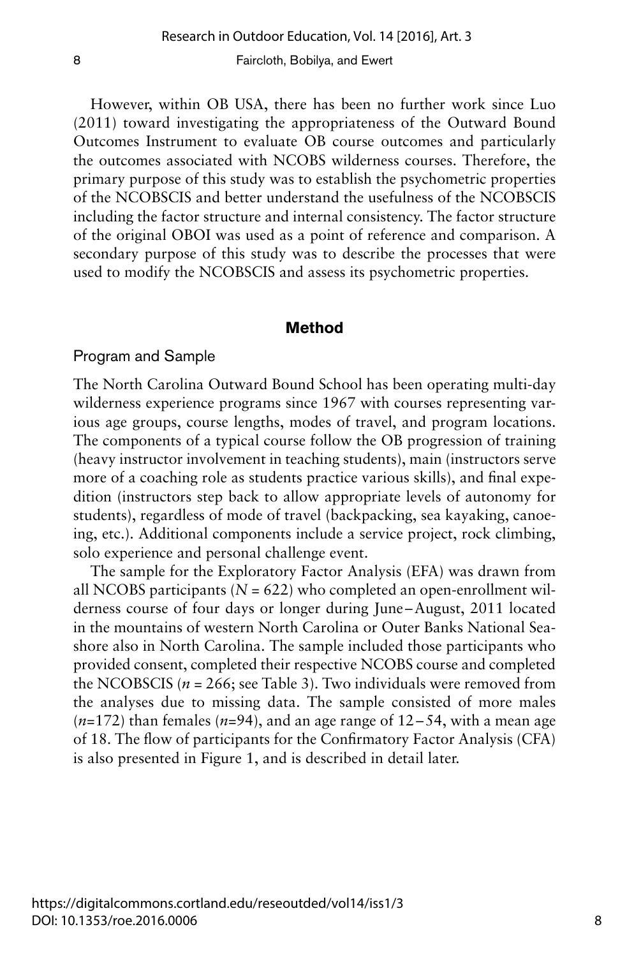However, within OB USA, there has been no further work since Luo (2011) toward investigating the appropriateness of the Outward Bound Outcomes Instrument to evaluate OB course outcomes and particularly the outcomes associated with NCOBS wilderness courses. Therefore, the primary purpose of this study was to establish the psychometric properties of the NCOBSCIS and better understand the usefulness of the NCOBSCIS including the factor structure and internal consistency. The factor structure of the original OBOI was used as a point of reference and comparison. A secondary purpose of this study was to describe the processes that were used to modify the NCOBSCIS and assess its psychometric properties.

## **Method**

## Program and Sample

The North Carolina Outward Bound School has been operating multi-day wilderness experience programs since 1967 with courses representing various age groups, course lengths, modes of travel, and program locations. The components of a typical course follow the OB progression of training (heavy instructor involvement in teaching students), main (instructors serve more of a coaching role as students practice various skills), and final expedition (instructors step back to allow appropriate levels of autonomy for students), regardless of mode of travel (backpacking, sea kayaking, canoeing, etc.). Additional components include a service project, rock climbing, solo experience and personal challenge event.

The sample for the Exploratory Factor Analysis (EFA) was drawn from all NCOBS participants ( $N = 622$ ) who completed an open-enrollment wilderness course of four days or longer during June –August, 2011 located in the mountains of western North Carolina or Outer Banks National Seashore also in North Carolina. The sample included those participants who provided consent, completed their respective NCOBS course and completed the NCOBSCIS ( $n = 266$ ; see Table 3). Two individuals were removed from the analyses due to missing data. The sample consisted of more males  $(n=172)$  than females  $(n=94)$ , and an age range of  $12-54$ , with a mean age of 18. The flow of participants for the Confirmatory Factor Analysis (CFA) is also presented in Figure 1, and is described in detail later.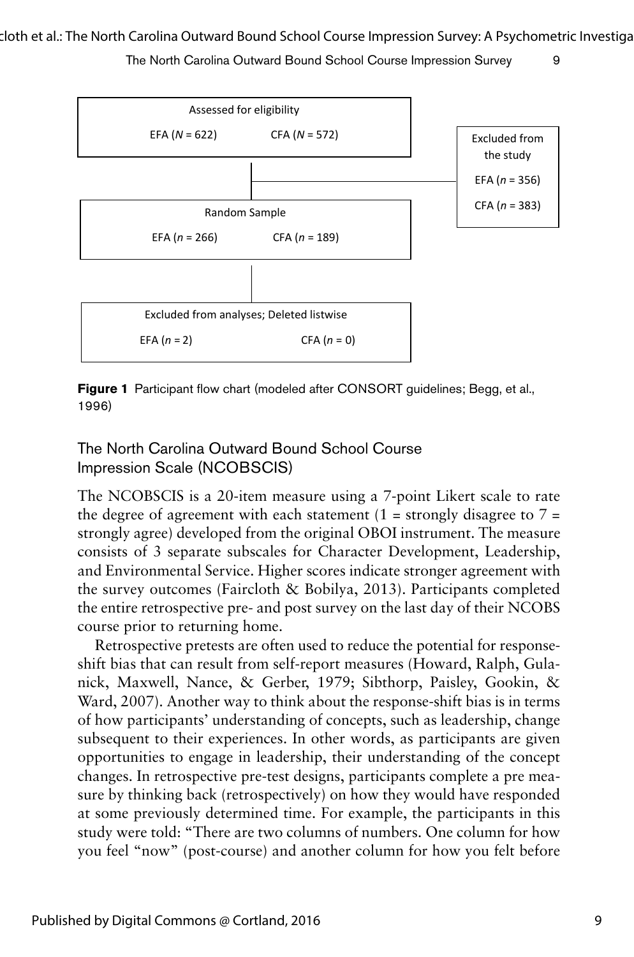

**Figure 1** Participant flow chart (modeled after CONSORT guidelines; Begg, et al., 1996) *F ig. 1*. Participant flow chart (modeled after C ONSOR T guidelines; B egg, et al., 1 996)

The North Carolina Outward Bound School Course Impression Scale (NCOBSCIS)

The NCOBSCIS is a 20-item measure using a 7-point Likert scale to rate the degree of agreement with each statement  $(1 =$  strongly disagree to  $7 =$ strongly agree) developed from the original OBOI instrument. The measure consists of 3 separate subscales for Character Development, Leadership, and Environmental Service. Higher scores indicate stronger agreement with the survey outcomes (Faircloth & Bobilya, 2013). Participants completed the entire retrospective pre- and post survey on the last day of their NCOBS course prior to returning home.

Retrospective pretests are often used to reduce the potential for responseshift bias that can result from self-report measures (Howard, Ralph, Gulanick, Maxwell, Nance, & Gerber, 1979; Sibthorp, Paisley, Gookin, & Ward, 2007). Another way to think about the response-shift bias is in terms of how participants' understanding of concepts, such as leadership, change subsequent to their experiences. In other words, as participants are given opportunities to engage in leadership, their understanding of the concept changes. In retrospective pre-test designs, participants complete a pre measure by thinking back (retrospectively) on how they would have responded at some previously determined time. For example, the participants in this study were told: "There are two columns of numbers. One column for how you feel "now" (post-course) and another column for how you felt before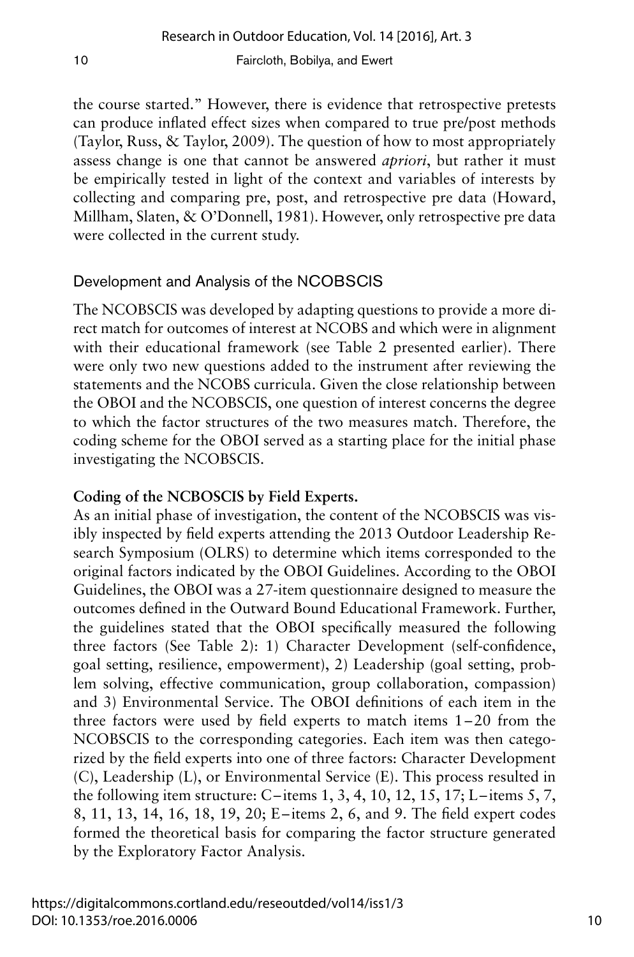the course started." However, there is evidence that retrospective pretests can produce inflated effect sizes when compared to true pre/post methods (Taylor, Russ, & Taylor, 2009). The question of how to most appropriately assess change is one that cannot be answered *apriori*, but rather it must be empirically tested in light of the context and variables of interests by collecting and comparing pre, post, and retrospective pre data (Howard, Millham, Slaten, & O'Donnell, 1981). However, only retrospective pre data were collected in the current study.

## Development and Analysis of the NCOBSCIS

The NCOBSCIS was developed by adapting questions to provide a more direct match for outcomes of interest at NCOBS and which were in alignment with their educational framework (see Table 2 presented earlier). There were only two new questions added to the instrument after reviewing the statements and the NCOBS curricula. Given the close relationship between the OBOI and the NCOBSCIS, one question of interest concerns the degree to which the factor structures of the two measures match. Therefore, the coding scheme for the OBOI served as a starting place for the initial phase investigating the NCOBSCIS.

## **Coding of the NCBOSCIS by Field Experts.**

As an initial phase of investigation, the content of the NCOBSCIS was visibly inspected by field experts attending the 2013 Outdoor Leadership Research Symposium (OLRS) to determine which items corresponded to the original factors indicated by the OBOI Guidelines. According to the OBOI Guidelines, the OBOI was a 27-item questionnaire designed to measure the outcomes defined in the Outward Bound Educational Framework. Further, the guidelines stated that the OBOI specifically measured the following three factors (See Table 2): 1) Character Development (self-confidence, goal setting, resilience, empowerment), 2) Leadership (goal setting, problem solving, effective communication, group collaboration, compassion) and 3) Environmental Service. The OBOI definitions of each item in the three factors were used by field experts to match items 1–20 from the NCOBSCIS to the corresponding categories. Each item was then categorized by the field experts into one of three factors: Character Development (C), Leadership (L), or Environmental Service (E). This process resulted in the following item structure: C–items 1, 3, 4, 10, 12, 15, 17; L– items 5, 7, 8, 11, 13, 14, 16, 18, 19, 20; E– items 2, 6, and 9. The field expert codes formed the theoretical basis for comparing the factor structure generated by the Exploratory Factor Analysis.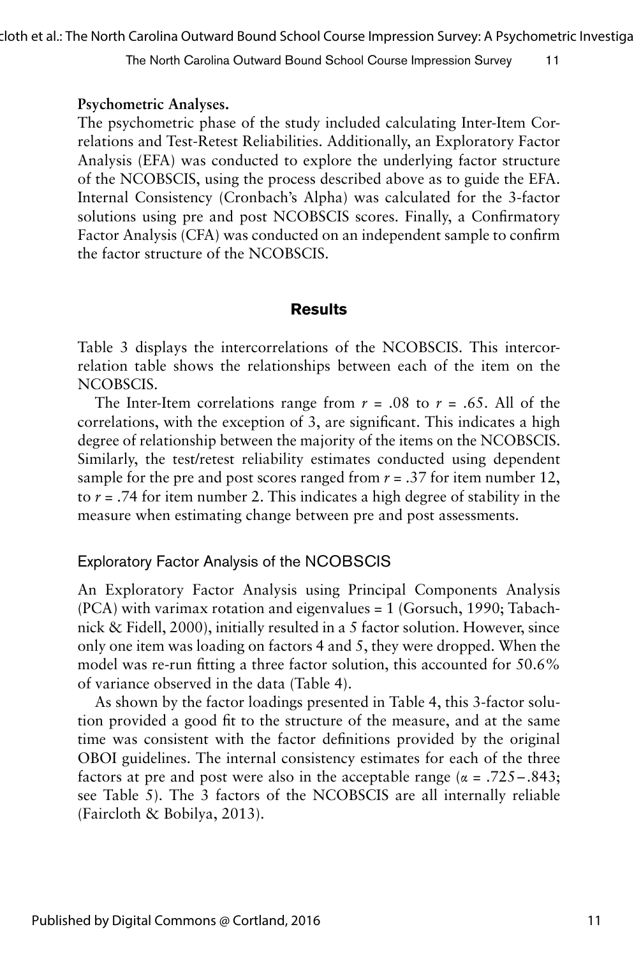cloth et al.: The North Carolina Outward Bound School Course Impression Survey: A Psychometric Investigation

The North Carolina Outward Bound School Course Impression Survey 11

#### **Psychometric Analyses.**

The psychometric phase of the study included calculating Inter-Item Correlations and Test-Retest Reliabilities. Additionally, an Exploratory Factor Analysis (EFA) was conducted to explore the underlying factor structure of the NCOBSCIS, using the process described above as to guide the EFA. Internal Consistency (Cronbach's Alpha) was calculated for the 3-factor solutions using pre and post NCOBSCIS scores. Finally, a Confirmatory Factor Analysis (CFA) was conducted on an independent sample to confirm the factor structure of the NCOBSCIS.

## **Results**

Table 3 displays the intercorrelations of the NCOBSCIS. This intercorrelation table shows the relationships between each of the item on the NCOBSCIS.

The Inter-Item correlations range from  $r = .08$  to  $r = .65$ . All of the correlations, with the exception of 3, are significant. This indicates a high degree of relationship between the majority of the items on the NCOBSCIS. Similarly, the test/retest reliability estimates conducted using dependent sample for the pre and post scores ranged from  $r = .37$  for item number 12, to *r =* .74 for item number 2. This indicates a high degree of stability in the measure when estimating change between pre and post assessments.

## Exploratory Factor Analysis of the NCOBSCIS

An Exploratory Factor Analysis using Principal Components Analysis (PCA) with varimax rotation and eigenvalues = 1 (Gorsuch, 1990; Tabachnick & Fidell, 2000), initially resulted in a 5 factor solution. However, since only one item was loading on factors 4 and 5, they were dropped. When the model was re-run fitting a three factor solution, this accounted for 50.6% of variance observed in the data (Table 4).

As shown by the factor loadings presented in Table 4, this 3-factor solution provided a good fit to the structure of the measure, and at the same time was consistent with the factor definitions provided by the original OBOI guidelines. The internal consistency estimates for each of the three factors at pre and post were also in the acceptable range ( $\alpha = .725 - .843$ ; see Table 5). The 3 factors of the NCOBSCIS are all internally reliable (Faircloth & Bobilya, 2013).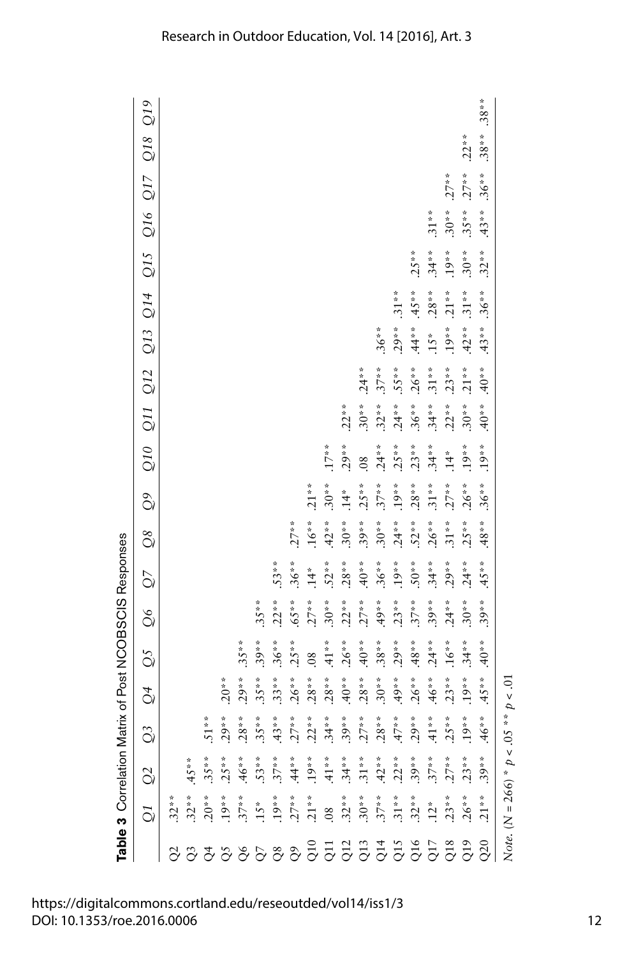|                        |                                                                                                                                                                                                                                                                                                                                                                                                                                                                                                                                                                                                                                                                                                   |               |                                                                                                                                                                                                                                                                                                                                              |                |                | Table 3 Correlation Matrix of Post NCOBSCIS Responses |                |               |            |                |          |          |          |         |                         |          |             |         |                          |
|------------------------|---------------------------------------------------------------------------------------------------------------------------------------------------------------------------------------------------------------------------------------------------------------------------------------------------------------------------------------------------------------------------------------------------------------------------------------------------------------------------------------------------------------------------------------------------------------------------------------------------------------------------------------------------------------------------------------------------|---------------|----------------------------------------------------------------------------------------------------------------------------------------------------------------------------------------------------------------------------------------------------------------------------------------------------------------------------------------------|----------------|----------------|-------------------------------------------------------|----------------|---------------|------------|----------------|----------|----------|----------|---------|-------------------------|----------|-------------|---------|--------------------------|
|                        | $\frac{1}{2} \begin{vmatrix} \stackrel{*}{\rightarrow} & \stackrel{*}{\rightarrow} & \stackrel{*}{\rightarrow} & \stackrel{*}{\rightarrow} & \stackrel{*}{\rightarrow} & \stackrel{*}{\rightarrow} & \stackrel{*}{\rightarrow} & \stackrel{*}{\rightarrow} & \stackrel{*}{\rightarrow} & \stackrel{*}{\rightarrow} & \stackrel{*}{\rightarrow} & \stackrel{*}{\rightarrow} & \stackrel{*}{\rightarrow} & \stackrel{*}{\rightarrow} & \stackrel{*}{\rightarrow} & \stackrel{*}{\rightarrow} & \stackrel{*}{\rightarrow} & \stackrel{*}{\rightarrow} & \stackrel{*}{\rightarrow} & \stackrel{*}{\rightarrow} & \stackrel{*}{\rightarrow} & \stackrel{*}{\rightarrow} & \stackrel{*}{\rightarrow} &$ | $\frac{1}{2}$ | $\Im$                                                                                                                                                                                                                                                                                                                                        | $\overline{Q}$ | $\overline{Q}$ | $\frac{6}{2}$                                         | $\overline{Q}$ | $\mathbb{Q}8$ | ටි         |                |          |          |          |         | Q10 Q11 Q12 Q13 Q14 Q15 |          | Q16 Q17 Q18 |         | $\widetilde{\mathrm{O}}$ |
|                        |                                                                                                                                                                                                                                                                                                                                                                                                                                                                                                                                                                                                                                                                                                   |               |                                                                                                                                                                                                                                                                                                                                              |                |                |                                                       |                |               |            |                |          |          |          |         |                         |          |             |         |                          |
|                        |                                                                                                                                                                                                                                                                                                                                                                                                                                                                                                                                                                                                                                                                                                   |               |                                                                                                                                                                                                                                                                                                                                              |                |                |                                                       |                |               |            |                |          |          |          |         |                         |          |             |         |                          |
|                        |                                                                                                                                                                                                                                                                                                                                                                                                                                                                                                                                                                                                                                                                                                   |               |                                                                                                                                                                                                                                                                                                                                              |                |                |                                                       |                |               |            |                |          |          |          |         |                         |          |             |         |                          |
|                        |                                                                                                                                                                                                                                                                                                                                                                                                                                                                                                                                                                                                                                                                                                   |               |                                                                                                                                                                                                                                                                                                                                              | $.20**$        |                |                                                       |                |               |            |                |          |          |          |         |                         |          |             |         |                          |
|                        |                                                                                                                                                                                                                                                                                                                                                                                                                                                                                                                                                                                                                                                                                                   |               | $51**$<br>$29***$<br>$28***$<br>$35**$                                                                                                                                                                                                                                                                                                       | $.29**$        | $.35***$       |                                                       |                |               |            |                |          |          |          |         |                         |          |             |         |                          |
|                        |                                                                                                                                                                                                                                                                                                                                                                                                                                                                                                                                                                                                                                                                                                   |               |                                                                                                                                                                                                                                                                                                                                              | $.35**$        | $.39***$       | $.35***$                                              |                |               |            |                |          |          |          |         |                         |          |             |         |                          |
|                        |                                                                                                                                                                                                                                                                                                                                                                                                                                                                                                                                                                                                                                                                                                   |               |                                                                                                                                                                                                                                                                                                                                              | $.33**$        | $.36**$        | $.22**$                                               | $.53**$        |               |            |                |          |          |          |         |                         |          |             |         |                          |
|                        |                                                                                                                                                                                                                                                                                                                                                                                                                                                                                                                                                                                                                                                                                                   |               |                                                                                                                                                                                                                                                                                                                                              | $.26**$        | $.25***$       | $-8.59$ .                                             | $.36**$        | $.27**$       |            |                |          |          |          |         |                         |          |             |         |                          |
|                        |                                                                                                                                                                                                                                                                                                                                                                                                                                                                                                                                                                                                                                                                                                   |               |                                                                                                                                                                                                                                                                                                                                              | $28**$         | 08             | $.27**$                                               | $\ddot{4}$     | $.16***$      | $21**$     |                |          |          |          |         |                         |          |             |         |                          |
|                        |                                                                                                                                                                                                                                                                                                                                                                                                                                                                                                                                                                                                                                                                                                   |               |                                                                                                                                                                                                                                                                                                                                              | $28**$         | $.41**$        | $.30**$                                               | $.52**$        | $42**$        | $.30**$    | $.17***$       |          |          |          |         |                         |          |             |         |                          |
|                        |                                                                                                                                                                                                                                                                                                                                                                                                                                                                                                                                                                                                                                                                                                   |               |                                                                                                                                                                                                                                                                                                                                              | $*0*$ .        | $.26***$       | $.22**$                                               | $.28**$        | $.30**$       | $\ddot{4}$ | $.29***$       | $.22**$  |          |          |         |                         |          |             |         |                          |
|                        |                                                                                                                                                                                                                                                                                                                                                                                                                                                                                                                                                                                                                                                                                                   |               |                                                                                                                                                                                                                                                                                                                                              | $.28**$        | $*0*$ .        | $.27***$                                              | $40*$          | $.39***$      | $.25**$    | $\overline{0}$ | $.30**$  | $.24**$  |          |         |                         |          |             |         |                          |
|                        |                                                                                                                                                                                                                                                                                                                                                                                                                                                                                                                                                                                                                                                                                                   |               |                                                                                                                                                                                                                                                                                                                                              | $.30**$        | $.38**$        | $49**$                                                | $.36**$        | $.30**$       | $.37**$    | $.24**$        | $.32**$  | $.37**$  | $.36**$  |         |                         |          |             |         |                          |
|                        |                                                                                                                                                                                                                                                                                                                                                                                                                                                                                                                                                                                                                                                                                                   |               |                                                                                                                                                                                                                                                                                                                                              | $49**$         | $29**$         | $.23**$                                               | $19**$         | $.24**$       | $19**$     | $25**$         | $.24**$  | $.55**$  | $.29**$  | $.31**$ |                         |          |             |         |                          |
|                        |                                                                                                                                                                                                                                                                                                                                                                                                                                                                                                                                                                                                                                                                                                   |               |                                                                                                                                                                                                                                                                                                                                              | $.26***$       | $.48**$        | $.37***$                                              | $-50**$        | $.52***$      | $.28**$    | $.23**$        | $.36**$  | $.26***$ | $.44**$  | $.45**$ | $.25**$                 |          |             |         |                          |
|                        |                                                                                                                                                                                                                                                                                                                                                                                                                                                                                                                                                                                                                                                                                                   |               |                                                                                                                                                                                                                                                                                                                                              | $.46**$        | $24**$         | $.39**$                                               | $.34**$        | $.26***$      | $.31**$    | $.34**$        | $.34***$ | $31**$   | $15*$    | $.28**$ | $.34**$                 | $.31**$  |             |         |                          |
|                        |                                                                                                                                                                                                                                                                                                                                                                                                                                                                                                                                                                                                                                                                                                   |               |                                                                                                                                                                                                                                                                                                                                              | $.23**$        | $.16**$        | $.24**$                                               | $.29**$        | $.31**$       | $.27***$   | $.14*$         | $.22**$  | $.23**$  | $.19***$ | $.21**$ | $.19***$                | $.30**$  | $.27**$     |         |                          |
|                        |                                                                                                                                                                                                                                                                                                                                                                                                                                                                                                                                                                                                                                                                                                   |               |                                                                                                                                                                                                                                                                                                                                              | $.19***$       | $.34**$        | $.30**$                                               | $.24**$        | $.25**$       | $.26**$    | $.19**$        | $.30**$  | $.21**$  | $.42**$  | $.31**$ | $.30**$                 | $.35***$ | $.27**$     | $.22**$ |                          |
| $88888888855335535533$ |                                                                                                                                                                                                                                                                                                                                                                                                                                                                                                                                                                                                                                                                                                   |               | $\ddot{3} \ddot{7} \ddot{8} \ddot{8} \ddot{8} \ddot{8} \ddot{8} \ddot{8} \ddot{8} \ddot{8} \ddot{8} \ddot{8} \ddot{8} \ddot{8} \ddot{8} \ddot{8} \ddot{8} \ddot{8} \ddot{8} \ddot{8} \ddot{8} \ddot{8} \ddot{8} \ddot{8} \ddot{8} \ddot{8} \ddot{8} \ddot{8} \ddot{8} \ddot{8} \ddot{8} \ddot{8} \ddot{8} \ddot{8} \ddot{8} \ddot{8} \ddot{$ | $45**$         | $40*$          | $.39**$                                               | $45**$         | $.48**$       | $.36**$    | $.19**$        | $40*$    | $40*$    | $.43**$  | $.36**$ | $.32**$                 | $.43**$  | $.36**$     | $.38**$ | $.38**$                  |
|                        | Note. ( $N = 266$ ) * $p < .05$ * * $p < .01$                                                                                                                                                                                                                                                                                                                                                                                                                                                                                                                                                                                                                                                     |               |                                                                                                                                                                                                                                                                                                                                              |                |                |                                                       |                |               |            |                |          |          |          |         |                         |          |             |         |                          |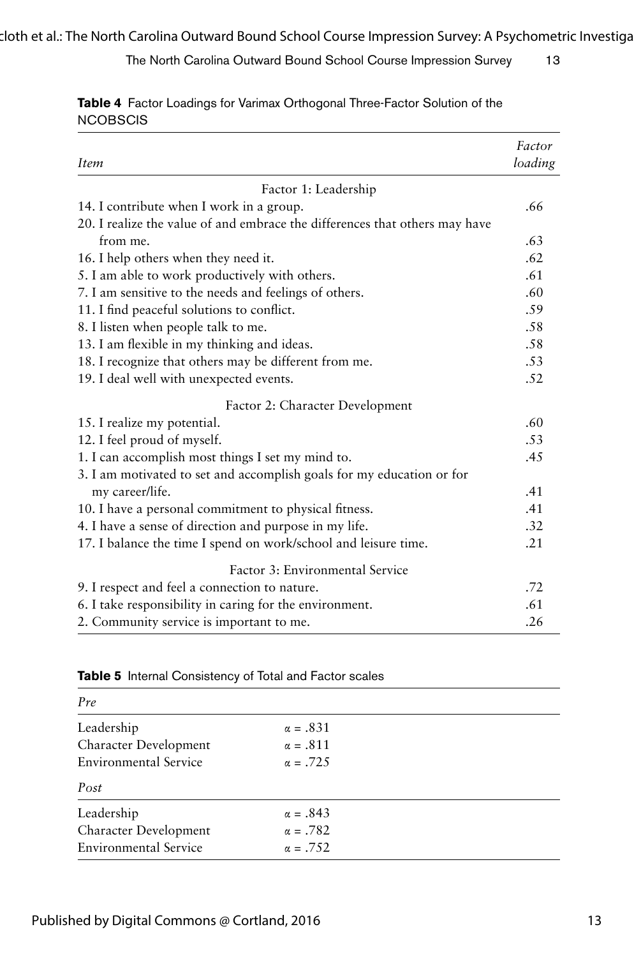| <i>Item</i>                                                                 | Factor<br>loading |
|-----------------------------------------------------------------------------|-------------------|
| Factor 1: Leadership                                                        |                   |
| 14. I contribute when I work in a group.                                    | .66               |
| 20. I realize the value of and embrace the differences that others may have |                   |
| from me.                                                                    | .63               |
| 16. I help others when they need it.                                        | .62               |
| 5. I am able to work productively with others.                              | .61               |
| 7. I am sensitive to the needs and feelings of others.                      | .60               |
| 11. I find peaceful solutions to conflict.                                  | .59               |
| 8. I listen when people talk to me.                                         | .58               |
| 13. I am flexible in my thinking and ideas.                                 | .58               |
| 18. I recognize that others may be different from me.                       | .53               |
| 19. I deal well with unexpected events.                                     | .52               |
| Factor 2: Character Development                                             |                   |
| 15. I realize my potential.                                                 | .60               |
| 12. I feel proud of myself.                                                 | .53               |
| 1. I can accomplish most things I set my mind to.                           | .45               |
| 3. I am motivated to set and accomplish goals for my education or for       |                   |
| my career/life.                                                             | .41               |
| 10. I have a personal commitment to physical fitness.                       | .41               |
| 4. I have a sense of direction and purpose in my life.                      | .32               |
| 17. I balance the time I spend on work/school and leisure time.             | .21               |
| Factor 3: Environmental Service                                             |                   |
| 9. I respect and feel a connection to nature.                               | .72               |
| 6. I take responsibility in caring for the environment.                     | .61               |
| 2. Community service is important to me.                                    | .26               |

**Table 4** Factor Loadings for Varimax Orthogonal Three-Factor Solution of the **NCOBSCIS** 

|  | <b>Table 5</b> Internal Consistency of Total and Factor scales |  |  |
|--|----------------------------------------------------------------|--|--|
|  |                                                                |  |  |

| Pre                          |                 |  |
|------------------------------|-----------------|--|
| Leadership                   | $\alpha = .831$ |  |
| Character Development        | $\alpha = .811$ |  |
| <b>Environmental Service</b> | $\alpha = .725$ |  |
| Post                         |                 |  |
| Leadership                   | $\alpha = .843$ |  |
| Character Development        | $\alpha = .782$ |  |
| <b>Environmental Service</b> | $\alpha = .752$ |  |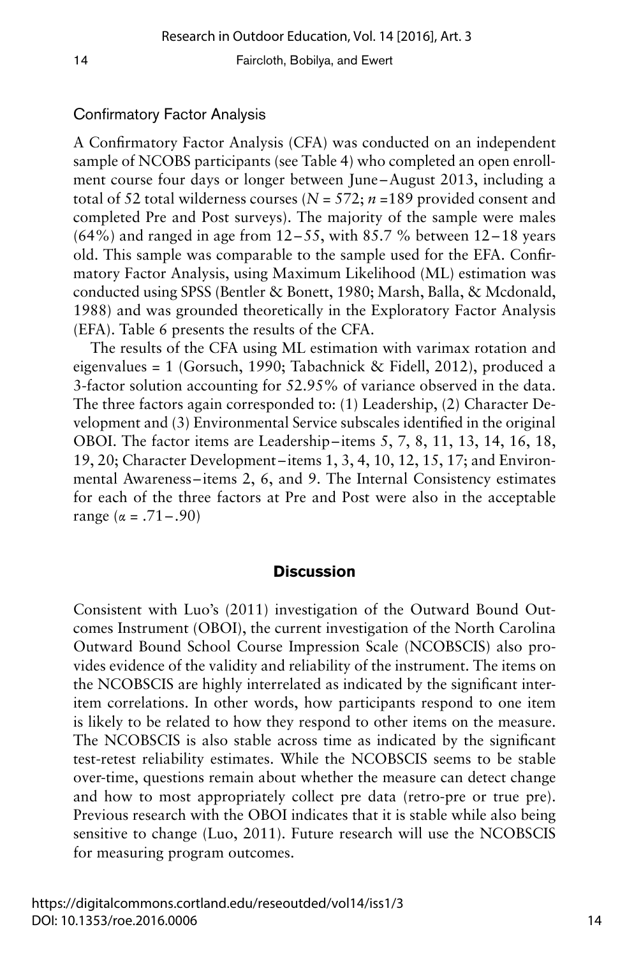## Confirmatory Factor Analysis

A Confirmatory Factor Analysis (CFA) was conducted on an independent sample of NCOBS participants (see Table 4) who completed an open enrollment course four days or longer between June –August 2013, including a total of 52 total wilderness courses (*N* = 572; *n* =189 provided consent and completed Pre and Post surveys). The majority of the sample were males  $(64%)$  and ranged in age from 12–55, with 85.7% between 12–18 years old. This sample was comparable to the sample used for the EFA. Confirmatory Factor Analysis, using Maximum Likelihood (ML) estimation was conducted using SPSS (Bentler & Bonett, 1980; Marsh, Balla, & Mcdonald, 1988) and was grounded theoretically in the Exploratory Factor Analysis (EFA). Table 6 presents the results of the CFA.

The results of the CFA using ML estimation with varimax rotation and eigenvalues = 1 (Gorsuch, 1990; Tabachnick & Fidell, 2012), produced a 3-factor solution accounting for 52.95% of variance observed in the data. The three factors again corresponded to: (1) Leadership, (2) Character Development and (3) Environmental Service subscales identified in the original OBOI. The factor items are Leadership– items 5, 7, 8, 11, 13, 14, 16, 18, 19, 20; Character Development –items 1, 3, 4, 10, 12, 15, 17; and Environmental Awareness–items 2, 6, and 9. The Internal Consistency estimates for each of the three factors at Pre and Post were also in the acceptable range (α = .71 – .90)

## **Discussion**

Consistent with Luo's (2011) investigation of the Outward Bound Outcomes Instrument (OBOI), the current investigation of the North Carolina Outward Bound School Course Impression Scale (NCOBSCIS) also provides evidence of the validity and reliability of the instrument. The items on the NCOBSCIS are highly interrelated as indicated by the significant interitem correlations. In other words, how participants respond to one item is likely to be related to how they respond to other items on the measure. The NCOBSCIS is also stable across time as indicated by the significant test-retest reliability estimates. While the NCOBSCIS seems to be stable over-time, questions remain about whether the measure can detect change and how to most appropriately collect pre data (retro-pre or true pre). Previous research with the OBOI indicates that it is stable while also being sensitive to change (Luo, 2011). Future research will use the NCOBSCIS for measuring program outcomes.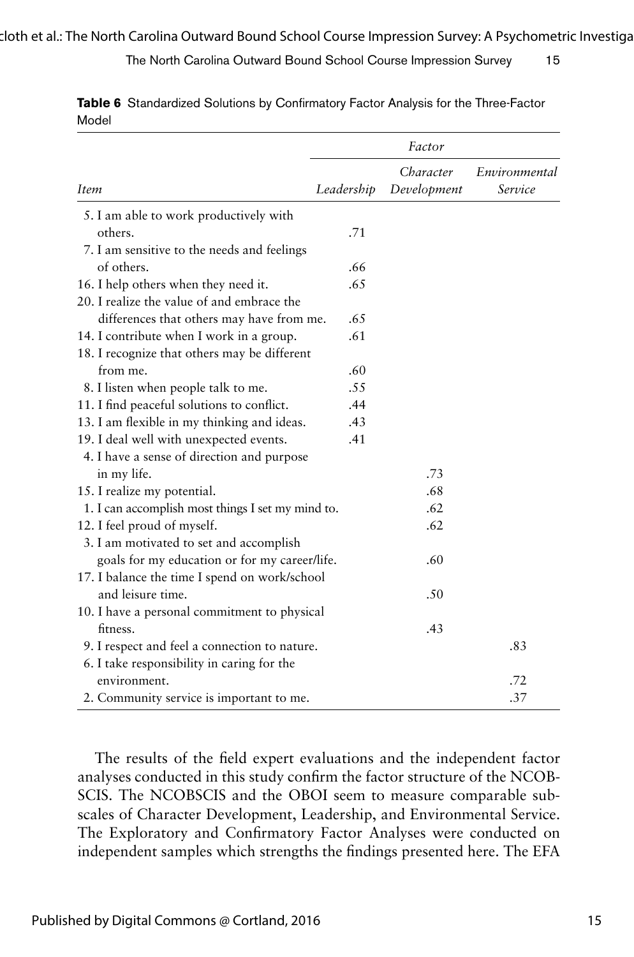|                                                   |            | Factor                   |                          |
|---------------------------------------------------|------------|--------------------------|--------------------------|
| <i>Item</i>                                       | Leadership | Character<br>Development | Environmental<br>Service |
| 5. I am able to work productively with            |            |                          |                          |
| others.                                           | .71        |                          |                          |
| 7. I am sensitive to the needs and feelings       |            |                          |                          |
| of others.                                        | .66        |                          |                          |
| 16. I help others when they need it.              | .65        |                          |                          |
| 20. I realize the value of and embrace the        |            |                          |                          |
| differences that others may have from me.         | .65        |                          |                          |
| 14. I contribute when I work in a group.          | .61        |                          |                          |
| 18. I recognize that others may be different      |            |                          |                          |
| from me.                                          | .60        |                          |                          |
| 8. I listen when people talk to me.               | .55        |                          |                          |
| 11. I find peaceful solutions to conflict.        | .44        |                          |                          |
| 13. I am flexible in my thinking and ideas.       | .43        |                          |                          |
| 19. I deal well with unexpected events.           | .41        |                          |                          |
| 4. I have a sense of direction and purpose        |            |                          |                          |
| in my life.                                       |            | .73                      |                          |
| 15. I realize my potential.                       |            | .68                      |                          |
| 1. I can accomplish most things I set my mind to. |            | .62                      |                          |
| 12. I feel proud of myself.                       |            | .62                      |                          |
| 3. I am motivated to set and accomplish           |            |                          |                          |
| goals for my education or for my career/life.     |            | .60                      |                          |
| 17. I balance the time I spend on work/school     |            |                          |                          |
| and leisure time.                                 |            | .50                      |                          |
| 10. I have a personal commitment to physical      |            |                          |                          |
| fitness.                                          |            | .43                      |                          |
| 9. I respect and feel a connection to nature.     |            |                          | .83                      |
| 6. I take responsibility in caring for the        |            |                          |                          |
| environment.                                      |            |                          | .72                      |
| 2. Community service is important to me.          |            |                          | .37                      |

**Table 6** Standardized Solutions by Confirmatory Factor Analysis for the Three-Factor Model

The results of the field expert evaluations and the independent factor analyses conducted in this study confirm the factor structure of the NCOB-SCIS. The NCOBSCIS and the OBOI seem to measure comparable subscales of Character Development, Leadership, and Environmental Service. The Exploratory and Confirmatory Factor Analyses were conducted on independent samples which strengths the findings presented here. The EFA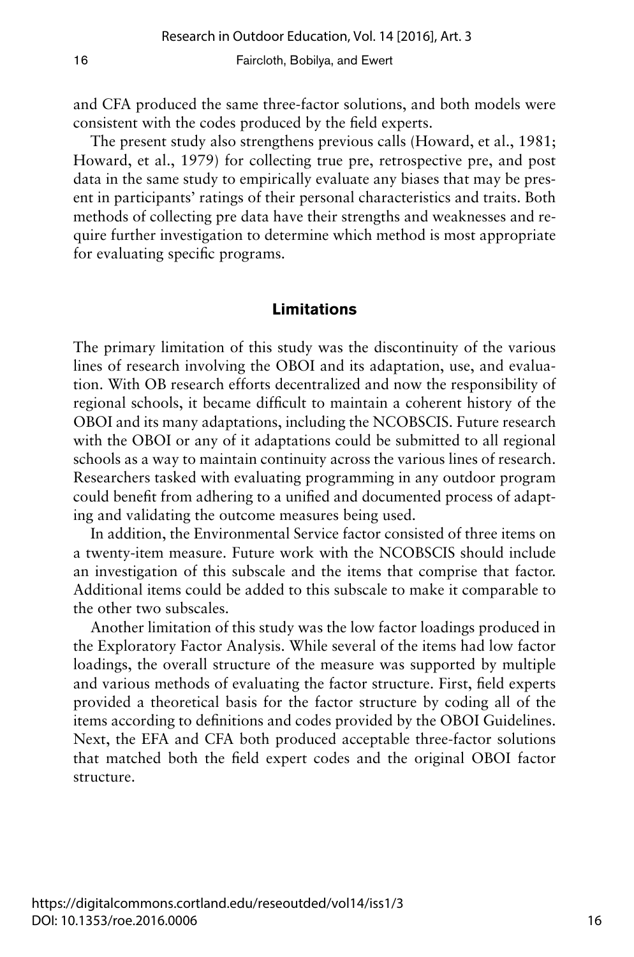and CFA produced the same three-factor solutions, and both models were consistent with the codes produced by the field experts.

The present study also strengthens previous calls (Howard, et al., 1981; Howard, et al., 1979) for collecting true pre, retrospective pre, and post data in the same study to empirically evaluate any biases that may be present in participants' ratings of their personal characteristics and traits. Both methods of collecting pre data have their strengths and weaknesses and require further investigation to determine which method is most appropriate for evaluating specific programs.

## **Limitations**

The primary limitation of this study was the discontinuity of the various lines of research involving the OBOI and its adaptation, use, and evaluation. With OB research efforts decentralized and now the responsibility of regional schools, it became difficult to maintain a coherent history of the OBOI and its many adaptations, including the NCOBSCIS. Future research with the OBOI or any of it adaptations could be submitted to all regional schools as a way to maintain continuity across the various lines of research. Researchers tasked with evaluating programming in any outdoor program could benefit from adhering to a unified and documented process of adapting and validating the outcome measures being used.

In addition, the Environmental Service factor consisted of three items on a twenty-item measure. Future work with the NCOBSCIS should include an investigation of this subscale and the items that comprise that factor. Additional items could be added to this subscale to make it comparable to the other two subscales.

Another limitation of this study was the low factor loadings produced in the Exploratory Factor Analysis. While several of the items had low factor loadings, the overall structure of the measure was supported by multiple and various methods of evaluating the factor structure. First, field experts provided a theoretical basis for the factor structure by coding all of the items according to definitions and codes provided by the OBOI Guidelines. Next, the EFA and CFA both produced acceptable three-factor solutions that matched both the field expert codes and the original OBOI factor structure.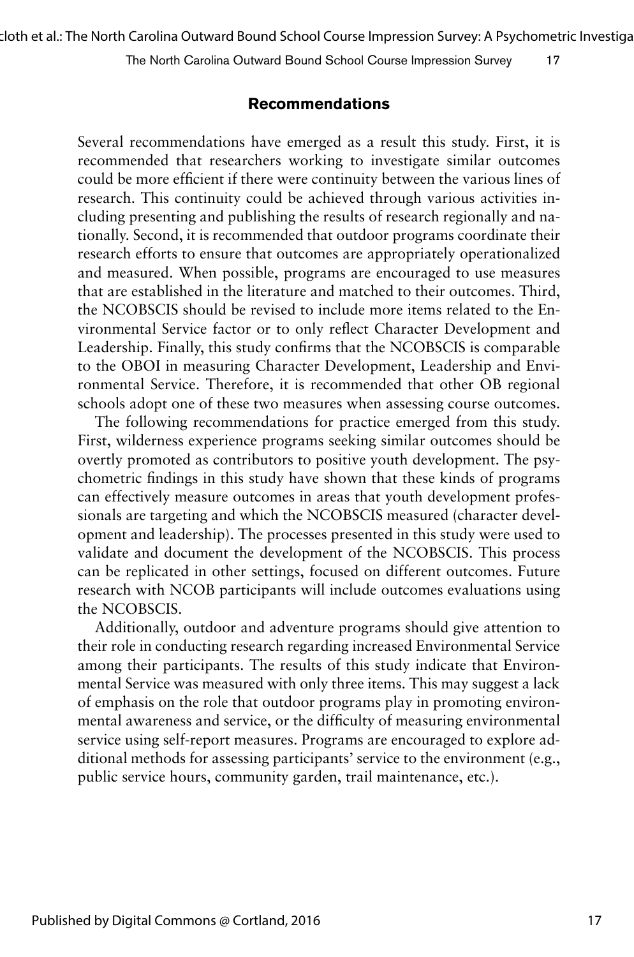cloth et al.: The North Carolina Outward Bound School Course Impression Survey: A Psychometric Investigation

The North Carolina Outward Bound School Course Impression Survey 17

## **Recommendations**

Several recommendations have emerged as a result this study. First, it is recommended that researchers working to investigate similar outcomes could be more efficient if there were continuity between the various lines of research. This continuity could be achieved through various activities including presenting and publishing the results of research regionally and nationally. Second, it is recommended that outdoor programs coordinate their research efforts to ensure that outcomes are appropriately operationalized and measured. When possible, programs are encouraged to use measures that are established in the literature and matched to their outcomes. Third, the NCOBSCIS should be revised to include more items related to the Environmental Service factor or to only reflect Character Development and Leadership. Finally, this study confirms that the NCOBSCIS is comparable to the OBOI in measuring Character Development, Leadership and Environmental Service. Therefore, it is recommended that other OB regional schools adopt one of these two measures when assessing course outcomes.

The following recommendations for practice emerged from this study. First, wilderness experience programs seeking similar outcomes should be overtly promoted as contributors to positive youth development. The psychometric findings in this study have shown that these kinds of programs can effectively measure outcomes in areas that youth development professionals are targeting and which the NCOBSCIS measured (character development and leadership). The processes presented in this study were used to validate and document the development of the NCOBSCIS. This process can be replicated in other settings, focused on different outcomes. Future research with NCOB participants will include outcomes evaluations using the NCOBSCIS.

Additionally, outdoor and adventure programs should give attention to their role in conducting research regarding increased Environmental Service among their participants. The results of this study indicate that Environmental Service was measured with only three items. This may suggest a lack of emphasis on the role that outdoor programs play in promoting environmental awareness and service, or the difficulty of measuring environmental service using self-report measures. Programs are encouraged to explore additional methods for assessing participants' service to the environment (e.g., public service hours, community garden, trail maintenance, etc.).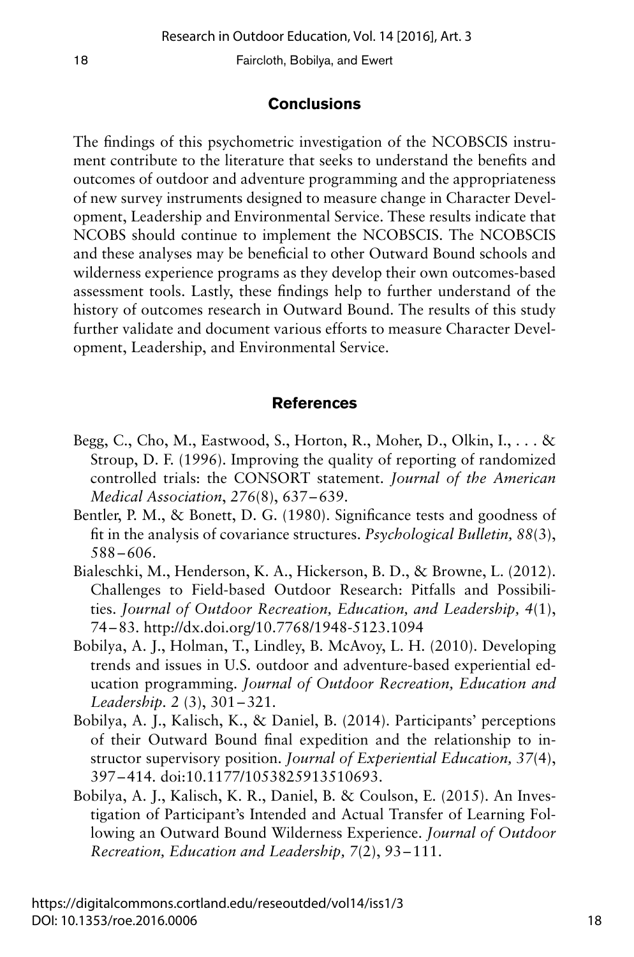## **Conclusions**

The findings of this psychometric investigation of the NCOBSCIS instrument contribute to the literature that seeks to understand the benefits and outcomes of outdoor and adventure programming and the appropriateness of new survey instruments designed to measure change in Character Development, Leadership and Environmental Service. These results indicate that NCOBS should continue to implement the NCOBSCIS. The NCOBSCIS and these analyses may be beneficial to other Outward Bound schools and wilderness experience programs as they develop their own outcomes-based assessment tools. Lastly, these findings help to further understand of the history of outcomes research in Outward Bound. The results of this study further validate and document various efforts to measure Character Development, Leadership, and Environmental Service.

## **References**

- Begg, C., Cho, M., Eastwood, S., Horton, R., Moher, D., Olkin, I., . . . & Stroup, D. F. (1996). Improving the quality of reporting of randomized controlled trials: the CONSORT statement. *Journal of the American Medical Association*, *276*(8), 637–639.
- Bentler, P. M., & Bonett, D. G. (1980). Significance tests and goodness of fit in the analysis of covariance structures. *Psychological Bulletin, 88*(3), 588–606.
- Bialeschki, M., Henderson, K. A., Hickerson, B. D., & Browne, L. (2012). Challenges to Field-based Outdoor Research: Pitfalls and Possibilities. *Journal of Outdoor Recreation, Education, and Leadership, 4*(1), 74–83. http://dx.doi.org/10.7768/1948-5123.1094
- Bobilya, A. J., Holman, T., Lindley, B. McAvoy, L. H. (2010). Developing trends and issues in U.S. outdoor and adventure-based experiential education programming. *Journal of Outdoor Recreation, Education and Leadership. 2* (3), 301–321.
- Bobilya, A. J., Kalisch, K., & Daniel, B. (2014). Participants' perceptions of their Outward Bound final expedition and the relationship to instructor supervisory position. *Journal of Experiential Education, 37*(4), 397–414*.* doi:10.1177/1053825913510693.
- Bobilya, A. J., Kalisch, K. R., Daniel, B. & Coulson, E. (2015). An Investigation of Participant's Intended and Actual Transfer of Learning Following an Outward Bound Wilderness Experience. *Journal of Outdoor Recreation, Education and Leadership, 7*(2), 93–111.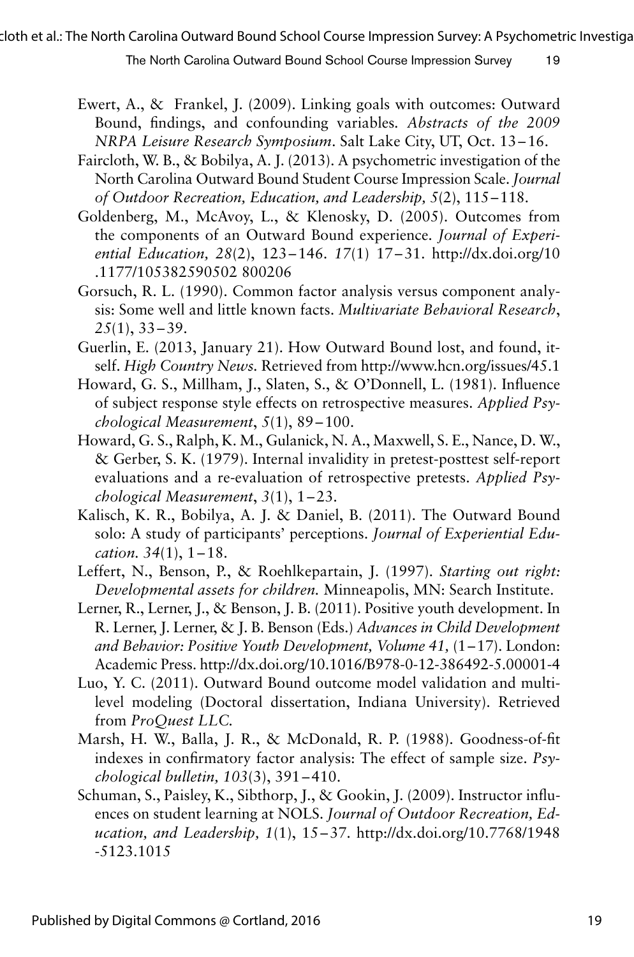cloth et al.: The North Carolina Outward Bound School Course Impression Survey: A Psychometric Investigation

The North Carolina Outward Bound School Course Impression Survey 19

- Ewert, A., & Frankel, J. (2009). Linking goals with outcomes: Outward Bound, findings, and confounding variables*. Abstracts of the 2009 NRPA Leisure Research Symposium*. Salt Lake City, UT, Oct. 13–16.
- Faircloth, W. B., & Bobilya, A. J. (2013). A psychometric investigation of the North Carolina Outward Bound Student Course Impression Scale. *Journal of Outdoor Recreation, Education, and Leadership, 5*(2), 115–118.
- Goldenberg, M., McAvoy, L., & Klenosky, D. (2005). Outcomes from the components of an Outward Bound experience. *Journal of Experiential Education, 28*(2), 123–146. *17*(1) 17–31. http://dx.doi.org/10 .1177/105382590502 800206
- Gorsuch, R. L. (1990). Common factor analysis versus component analysis: Some well and little known facts. *Multivariate Behavioral Research*, *25*(1), 33–39.
- Guerlin, E. (2013, January 21). How Outward Bound lost, and found, itself. *High Country News.* Retrieved from http://www.hcn.org/issues/45.1
- Howard, G. S., Millham, J., Slaten, S., & O'Donnell, L. (1981). Influence of subject response style effects on retrospective measures. *Applied Psychological Measurement*, *5*(1), 89–100.
- Howard, G. S., Ralph, K. M., Gulanick, N. A., Maxwell, S. E., Nance, D. W., & Gerber, S. K. (1979). Internal invalidity in pretest-posttest self-report evaluations and a re-evaluation of retrospective pretests. *Applied Psychological Measurement*, *3*(1), 1–23.
- Kalisch, K. R., Bobilya, A. J. & Daniel, B. (2011). The Outward Bound solo: A study of participants' perceptions. *Journal of Experiential Education. 34*(1), 1–18.
- Leffert, N., Benson, P., & Roehlkepartain, J. (1997). *Starting out right: Developmental assets for children.* Minneapolis, MN: Search Institute.
- Lerner, R., Lerner, J., & Benson, J. B. (2011). Positive youth development. In R. Lerner, J. Lerner, & J. B. Benson (Eds.) *Advances in Child Development and Behavior: Positive Youth Development, Volume 41,* (1–17). London: Academic Press. http://dx.doi.org/10.1016/B978-0-12-386492-5.00001-4
- Luo, Y. C. (2011). Outward Bound outcome model validation and multilevel modeling (Doctoral dissertation, Indiana University). Retrieved from *ProQuest LLC.*
- Marsh, H. W., Balla, J. R., & McDonald, R. P. (1988). Goodness-of-fit indexes in confirmatory factor analysis: The effect of sample size. *Psychological bulletin, 103*(3), 391–410.
- Schuman, S., Paisley, K., Sibthorp, J., & Gookin, J. (2009). Instructor influences on student learning at NOLS. *Journal of Outdoor Recreation, Education, and Leadership, 1*(1), 15–37. http://dx.doi.org/10.7768/1948 -5123.1015